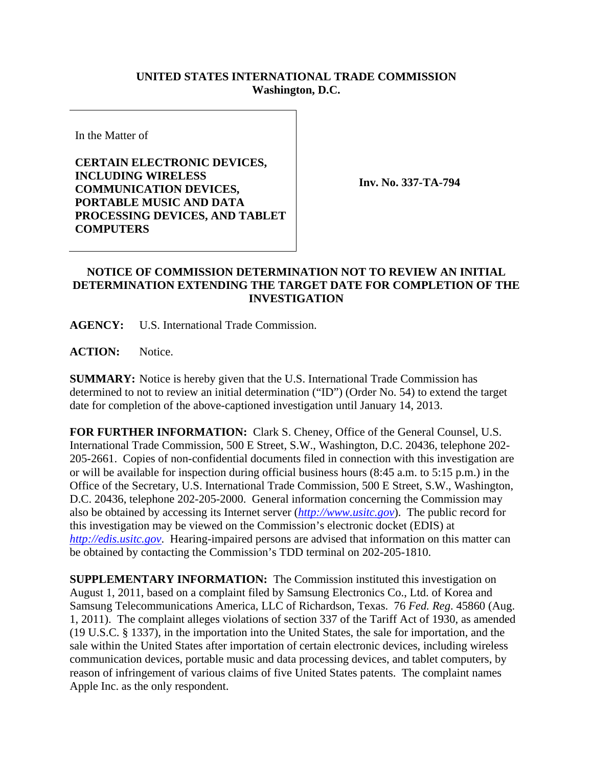## **UNITED STATES INTERNATIONAL TRADE COMMISSION Washington, D.C.**

In the Matter of

**CERTAIN ELECTRONIC DEVICES, INCLUDING WIRELESS COMMUNICATION DEVICES, PORTABLE MUSIC AND DATA PROCESSING DEVICES, AND TABLET COMPUTERS** 

**Inv. No. 337-TA-794**

## **NOTICE OF COMMISSION DETERMINATION NOT TO REVIEW AN INITIAL DETERMINATION EXTENDING THE TARGET DATE FOR COMPLETION OF THE INVESTIGATION**

**AGENCY:** U.S. International Trade Commission.

**ACTION:** Notice.

**SUMMARY:** Notice is hereby given that the U.S. International Trade Commission has determined to not to review an initial determination ("ID") (Order No. 54) to extend the target date for completion of the above-captioned investigation until January 14, 2013.

**FOR FURTHER INFORMATION:** Clark S. Cheney, Office of the General Counsel, U.S. International Trade Commission, 500 E Street, S.W., Washington, D.C. 20436, telephone 202- 205-2661. Copies of non-confidential documents filed in connection with this investigation are or will be available for inspection during official business hours (8:45 a.m. to 5:15 p.m.) in the Office of the Secretary, U.S. International Trade Commission, 500 E Street, S.W., Washington, D.C. 20436, telephone 202-205-2000. General information concerning the Commission may also be obtained by accessing its Internet server (*http://www.usitc.gov*). The public record for this investigation may be viewed on the Commission's electronic docket (EDIS) at *http://edis.usitc.gov*. Hearing-impaired persons are advised that information on this matter can be obtained by contacting the Commission's TDD terminal on 202-205-1810.

**SUPPLEMENTARY INFORMATION:** The Commission instituted this investigation on August 1, 2011, based on a complaint filed by Samsung Electronics Co., Ltd. of Korea and Samsung Telecommunications America, LLC of Richardson, Texas. 76 *Fed. Reg*. 45860 (Aug. 1, 2011). The complaint alleges violations of section 337 of the Tariff Act of 1930, as amended (19 U.S.C. § 1337), in the importation into the United States, the sale for importation, and the sale within the United States after importation of certain electronic devices, including wireless communication devices, portable music and data processing devices, and tablet computers, by reason of infringement of various claims of five United States patents. The complaint names Apple Inc. as the only respondent.